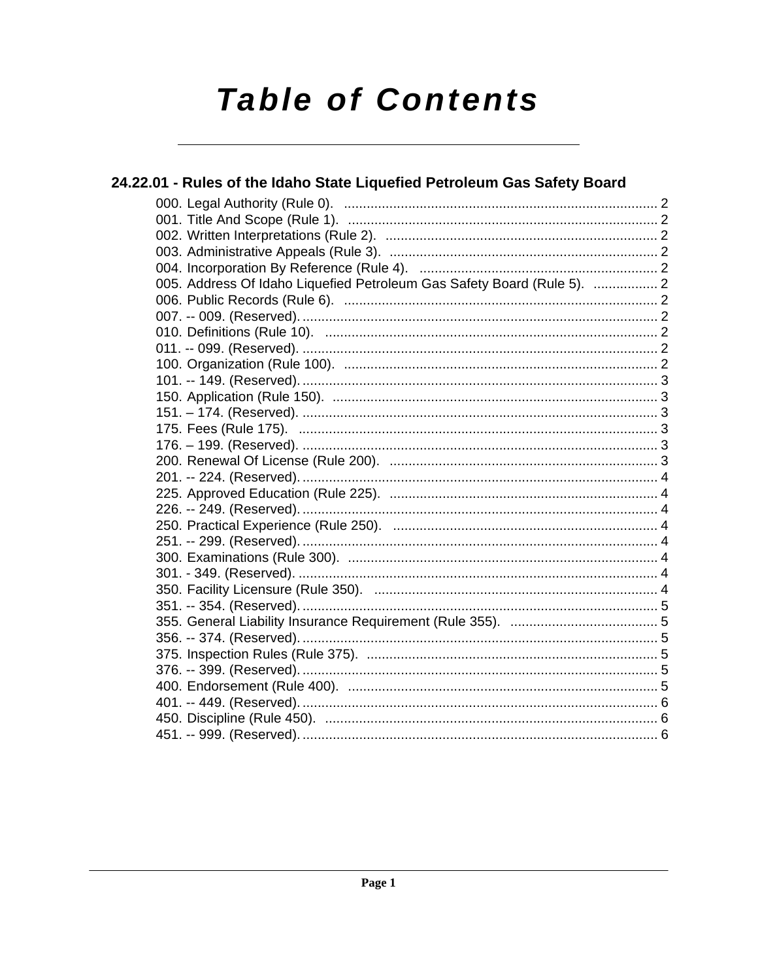# **Table of Contents**

| 24.22.01 - Rules of the Idaho State Liquefied Petroleum Gas Safety Board |  |
|--------------------------------------------------------------------------|--|
|                                                                          |  |
|                                                                          |  |
|                                                                          |  |
|                                                                          |  |
|                                                                          |  |
| 005. Address Of Idaho Liquefied Petroleum Gas Safety Board (Rule 5).  2  |  |
|                                                                          |  |
|                                                                          |  |
|                                                                          |  |
|                                                                          |  |
|                                                                          |  |
|                                                                          |  |
|                                                                          |  |
|                                                                          |  |
|                                                                          |  |
|                                                                          |  |
|                                                                          |  |
|                                                                          |  |
|                                                                          |  |
|                                                                          |  |
|                                                                          |  |
|                                                                          |  |
|                                                                          |  |
|                                                                          |  |
|                                                                          |  |
|                                                                          |  |
|                                                                          |  |
|                                                                          |  |
|                                                                          |  |
|                                                                          |  |
|                                                                          |  |
|                                                                          |  |
|                                                                          |  |
|                                                                          |  |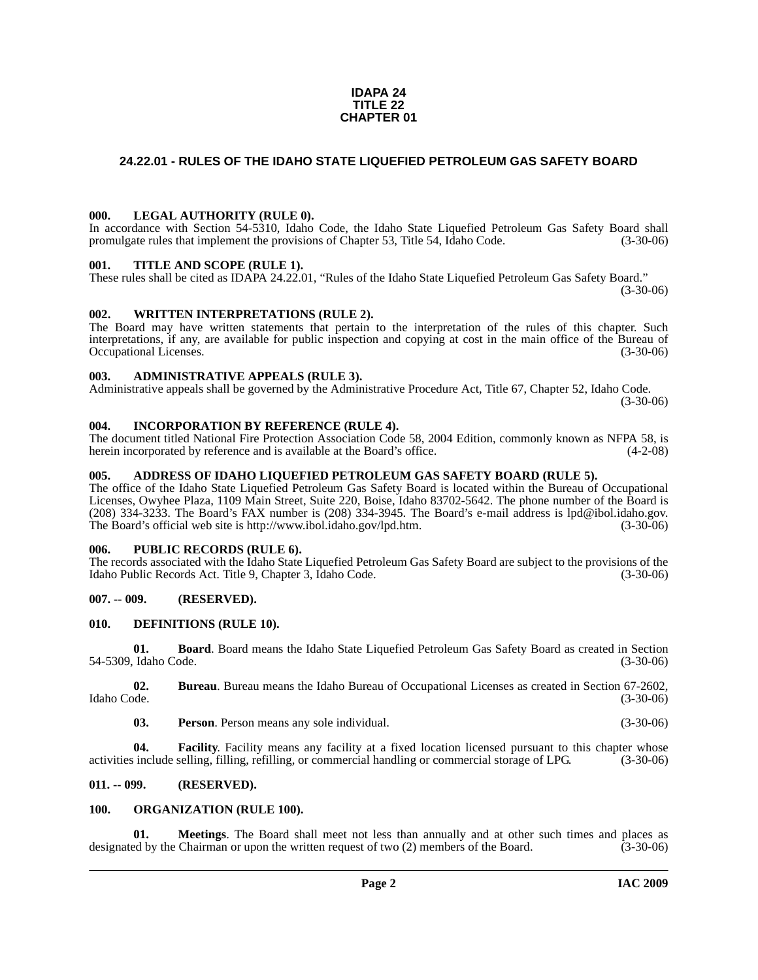#### **IDAPA 24 TITLE 22 CHAPTER 01**

### <span id="page-1-0"></span>**24.22.01 - RULES OF THE IDAHO STATE LIQUEFIED PETROLEUM GAS SAFETY BOARD**

#### <span id="page-1-1"></span>**000. LEGAL AUTHORITY (RULE 0).**

In accordance with Section 54-5310, Idaho Code, the Idaho State Liquefied Petroleum Gas Safety Board shall promulgate rules that implement the provisions of Chapter 53, Title 54, Idaho Code. (3-30-06)

#### <span id="page-1-2"></span>**001. TITLE AND SCOPE (RULE 1).**

These rules shall be cited as IDAPA 24.22.01, "Rules of the Idaho State Liquefied Petroleum Gas Safety Board."  $(3-30-06)$ 

#### <span id="page-1-3"></span>**002. WRITTEN INTERPRETATIONS (RULE 2).**

The Board may have written statements that pertain to the interpretation of the rules of this chapter. Such interpretations, if any, are available for public inspection and copying at cost in the main office of the Bureau of Occupational Licenses. (3-30-06)

#### <span id="page-1-4"></span>**003. ADMINISTRATIVE APPEALS (RULE 3).**

Administrative appeals shall be governed by the Administrative Procedure Act, Title 67, Chapter 52, Idaho Code. (3-30-06)

#### <span id="page-1-5"></span>**004. INCORPORATION BY REFERENCE (RULE 4).**

The document titled National Fire Protection Association Code 58, 2004 Edition, commonly known as NFPA 58, is herein incorporated by reference and is available at the Board's office. (4-2-08)

#### <span id="page-1-6"></span>**005. ADDRESS OF IDAHO LIQUEFIED PETROLEUM GAS SAFETY BOARD (RULE 5).**

[The office of the Idaho State Liquefied Petroleum Gas Safety Board is located within the Bureau of Occupational](mailto:lpd@ibol.idaho.gov)  Licenses, Owyhee Plaza, 1109 Main Street, Suite 220, Boise, Idaho 83702-5642. The phone number of the Board is (208) 334-3233. The Board's FAX number is (208) 334-3945. The Board's e-mail address is lpd@ibol.idaho.gov. [The Board's official web site is](mailto:lpd@ibol.idaho.gov) [http://www.ibol.idaho.gov/lpd.htm. \(3-30-06\)](http://www.ibol.idaho.gov/lpd.htm)

#### <span id="page-1-7"></span>**006. PUBLIC RECORDS (RULE 6).**

The records associated with the Idaho State Liquefied Petroleum Gas Safety Board are subject to the provisions of the Idaho Public Records Act. Title 9, Chapter 3, Idaho Code. (3-30-06)

#### <span id="page-1-8"></span>**007. -- 009. (RESERVED).**

#### <span id="page-1-12"></span><span id="page-1-9"></span>**010. DEFINITIONS (RULE 10).**

**01. Board**. Board means the Idaho State Liquefied Petroleum Gas Safety Board as created in Section 54-5309, Idaho Code. (3-30-06)

**02. Bureau**. Bureau means the Idaho Bureau of Occupational Licenses as created in Section 67-2602, Idaho Code. (3-30-06)

**03. Person**. Person means any sole individual. (3-30-06)

**04. Facility**. Facility means any facility at a fixed location licensed pursuant to this chapter whose activities include selling, filling, refilling, or commercial handling or commercial storage of LPG. (3-30-06)

#### <span id="page-1-10"></span>**011. -- 099. (RESERVED).**

#### <span id="page-1-14"></span><span id="page-1-11"></span>**100. ORGANIZATION (RULE 100).**

<span id="page-1-13"></span>**01. Meetings**. The Board shall meet not less than annually and at other such times and places as designated by the Chairman or upon the written request of two (2) members of the Board. (3-30-06)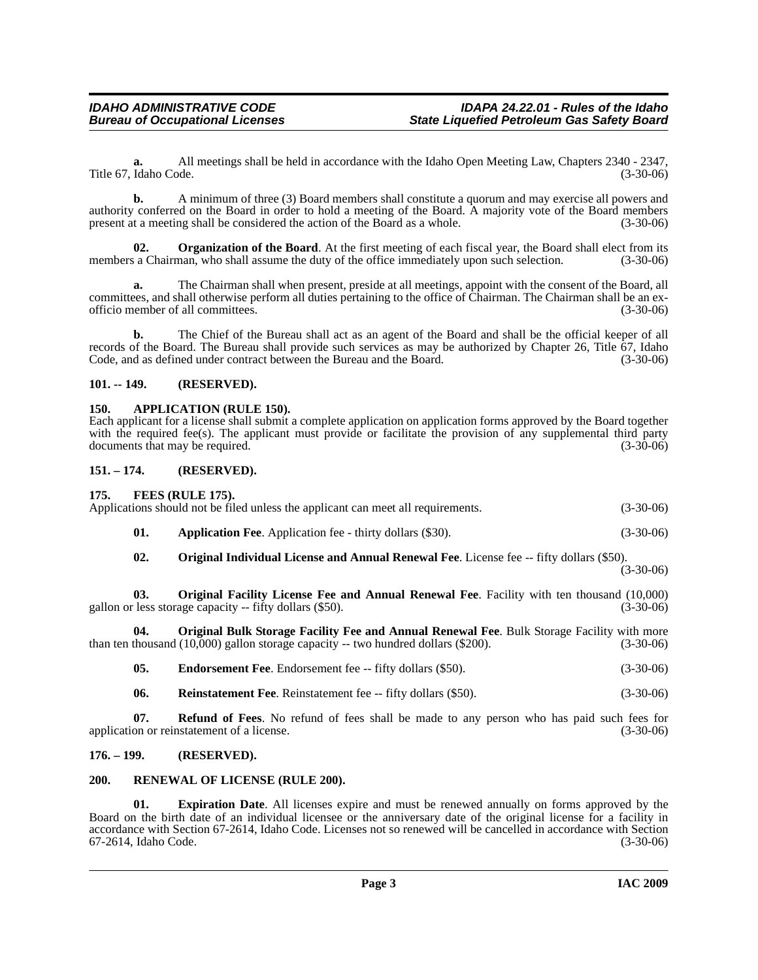**a.** All meetings shall be held in accordance with the Idaho Open Meeting Law, Chapters 2340 - 2347, Title 67, Idaho Code. (3-30-06)

**b.** A minimum of three (3) Board members shall constitute a quorum and may exercise all powers and authority conferred on the Board in order to hold a meeting of the Board. A majority vote of the Board members present at a meeting shall be considered the action of the Board as a whole.

<span id="page-2-11"></span>**02.** Organization of the Board. At the first meeting of each fiscal year, the Board shall elect from its members a Chairman, who shall assume the duty of the office immediately upon such selection. (3-30-06)

**a.** The Chairman shall when present, preside at all meetings, appoint with the consent of the Board, all committees, and shall otherwise perform all duties pertaining to the office of Chairman. The Chairman shall be an exofficio member of all committees. (3-30-06)

**b.** The Chief of the Bureau shall act as an agent of the Board and shall be the official keeper of all records of the Board. The Bureau shall provide such services as may be authorized by Chapter 26, Title 67, Idaho Code, and as defined under contract between the Bureau and the Board. (3-30-06)

#### <span id="page-2-0"></span>**101. -- 149. (RESERVED).**

#### <span id="page-2-7"></span><span id="page-2-1"></span>**150. APPLICATION (RULE 150).**

Each applicant for a license shall submit a complete application on application forms approved by the Board together with the required fee(s). The applicant must provide or facilitate the provision of any supplemental third party documents that may be required. (3-30-06)

#### <span id="page-2-2"></span>**151. – 174. (RESERVED). 175. FEES (RULE 175).**

<span id="page-2-14"></span><span id="page-2-10"></span><span id="page-2-6"></span><span id="page-2-3"></span>

| 02.          | <b>Original Individual License and Annual Renewal Fee.</b> License fee -- fifty dollars (\$50).      |             |
|--------------|------------------------------------------------------------------------------------------------------|-------------|
| 01.          | <b>Application Fee.</b> Application fee - thirty dollars (\$30).                                     | $(3-30-06)$ |
| $\Gamma/5$ . | FEES (RULE 175).<br>Applications should not be filed unless the applicant can meet all requirements. | $(3-30-06)$ |

(3-30-06)

<span id="page-2-13"></span>**03. Original Facility License Fee and Annual Renewal Fee**. Facility with ten thousand (10,000) less storage capacity -- fifty dollars (\$50). gallon or less storage capacity  $-$  fifty dollars  $(\$50)$ .

**04. Original Bulk Storage Facility Fee and Annual Renewal Fee**. Bulk Storage Facility with more than ten thousand (10,000) gallon storage capacity -- two hundred dollars (\$200). (3-30-06)

<span id="page-2-12"></span><span id="page-2-8"></span>**05. Endorsement Fee**. Endorsement fee -- fifty dollars (\$50). (3-30-06)

<span id="page-2-15"></span>**06.** Reinstatement Fee. Reinstatement fee -- fifty dollars (\$50). (3-30-06)

**07. Refund of Fees**. No refund of fees shall be made to any person who has paid such fees for application or reinstatement of a license. (3-30-06)

#### <span id="page-2-4"></span>**176. – 199. (RESERVED).**

#### <span id="page-2-16"></span><span id="page-2-5"></span>**200. RENEWAL OF LICENSE (RULE 200).**

<span id="page-2-9"></span>**01. Expiration Date**. All licenses expire and must be renewed annually on forms approved by the Board on the birth date of an individual licensee or the anniversary date of the original license for a facility in accordance with Section 67-2614, Idaho Code. Licenses not so renewed will be cancelled in accordance with Section 67-2614, Idaho Code. (3-30-06)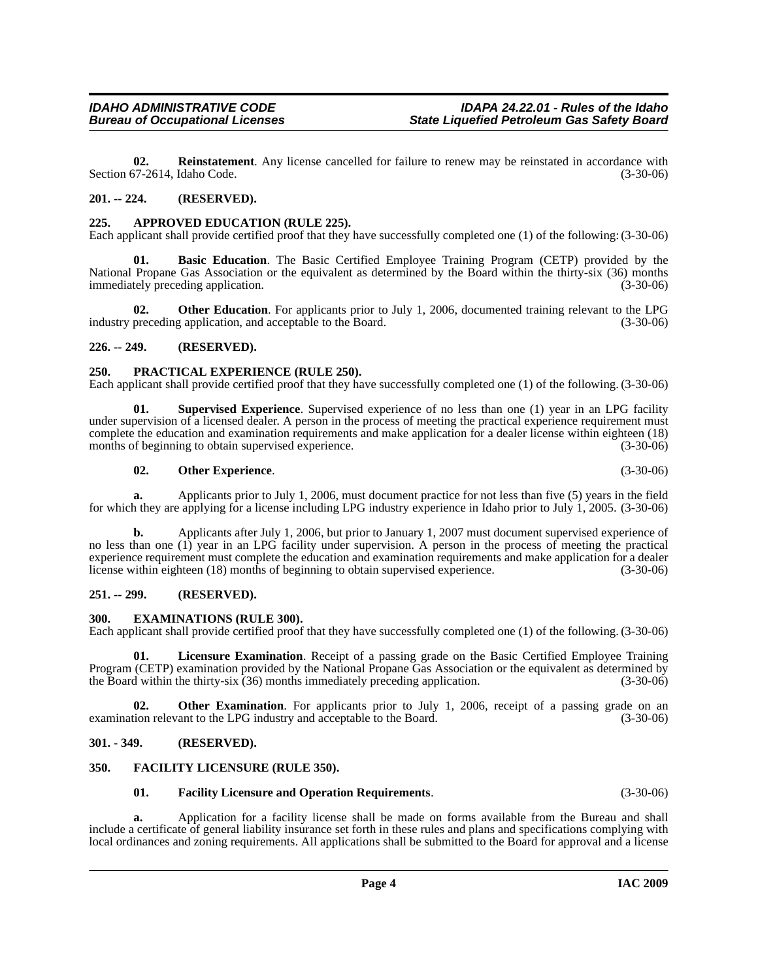<span id="page-3-15"></span>**02. Reinstatement**. Any license cancelled for failure to renew may be reinstated in accordance with Section 67-2614, Idaho Code. (3-30-06)

#### <span id="page-3-0"></span>**201. -- 224. (RESERVED).**

#### <span id="page-3-8"></span><span id="page-3-1"></span>**225. APPROVED EDUCATION (RULE 225).**

Each applicant shall provide certified proof that they have successfully completed one (1) of the following: (3-30-06)

<span id="page-3-9"></span>**Basic Education**. The Basic Certified Employee Training Program (CETP) provided by the National Propane Gas Association or the equivalent as determined by the Board within the thirty-six (36) months immediately preceding application. (3-30-06)

**02. Other Education**. For applicants prior to July 1, 2006, documented training relevant to the LPG industry preceding application, and acceptable to the Board. (3-30-06)

#### <span id="page-3-2"></span>**226. -- 249. (RESERVED).**

#### <span id="page-3-14"></span><span id="page-3-3"></span>**250. PRACTICAL EXPERIENCE (RULE 250).**

Each applicant shall provide certified proof that they have successfully completed one (1) of the following. (3-30-06)

**01. Supervised Experience**. Supervised experience of no less than one (1) year in an LPG facility under supervision of a licensed dealer. A person in the process of meeting the practical experience requirement must complete the education and examination requirements and make application for a dealer license within eighteen (18) months of beginning to obtain supervised experience. (3-30-06) (3-30-06)

#### <span id="page-3-16"></span><span id="page-3-13"></span>**02. Other Experience**. (3-30-06)

**a.** Applicants prior to July 1, 2006, must document practice for not less than five (5) years in the field for which they are applying for a license including LPG industry experience in Idaho prior to July 1, 2005. (3-30-06)

**b.** Applicants after July 1, 2006, but prior to January 1, 2007 must document supervised experience of no less than one (1) year in an LPG facility under supervision. A person in the process of meeting the practical experience requirement must complete the education and examination requirements and make application for a dealer<br>license within eighteen (18) months of beginning to obtain supervised experience. (3-30-06) license within eighteen (18) months of beginning to obtain supervised experience.

#### <span id="page-3-4"></span>**251. -- 299. (RESERVED).**

#### <span id="page-3-10"></span><span id="page-3-5"></span>**300. EXAMINATIONS (RULE 300).**

Each applicant shall provide certified proof that they have successfully completed one (1) of the following. (3-30-06)

**01. Licensure Examination**. Receipt of a passing grade on the Basic Certified Employee Training Program (CETP) examination provided by the National Propane Gas Association or the equivalent as determined by the Board within the thirty-six (36) months immediately preceding application. (3-30-06) the Board within the thirty-six  $(36)$  months immediately preceding application.

**02.** Other Examination. For applicants prior to July 1, 2006, receipt of a passing grade on an examination relevant to the LPG industry and acceptable to the Board. (3-30-06)

#### <span id="page-3-6"></span>**301. - 349. (RESERVED).**

#### <span id="page-3-7"></span>**350. FACILITY LICENSURE (RULE 350).**

#### <span id="page-3-12"></span><span id="page-3-11"></span>**01. Facility Licensure and Operation Requirements**. (3-30-06)

**a.** Application for a facility license shall be made on forms available from the Bureau and shall include a certificate of general liability insurance set forth in these rules and plans and specifications complying with local ordinances and zoning requirements. All applications shall be submitted to the Board for approval and a license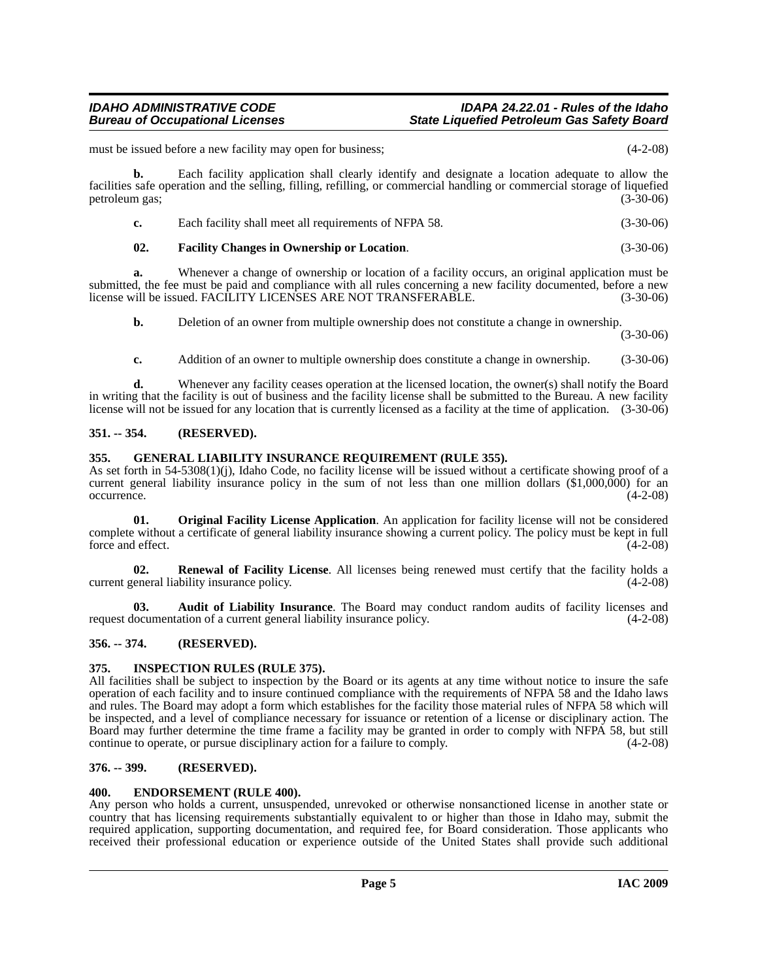must be issued before a new facility may open for business; (4-2-08)

**b.** Each facility application shall clearly identify and designate a location adequate to allow the facilities safe operation and the selling, filling, refilling, or commercial handling or commercial storage of liquefied petroleum gas; (3-30-06)

| c. | Each facility shall meet all requirements of NFPA 58. | $(3-30-06)$ |
|----|-------------------------------------------------------|-------------|
|----|-------------------------------------------------------|-------------|

## <span id="page-4-8"></span>**02. Facility Changes in Ownership or Location**. (3-30-06)

**a.** Whenever a change of ownership or location of a facility occurs, an original application must be submitted, the fee must be paid and compliance with all rules concerning a new facility documented, before a new<br>license will be issued. FACILITY LICENSES ARE NOT TRANSFERABLE. (3-30-06) license will be issued. FACILITY LICENSES ARE NOT TRANSFERABLE.

**b.** Deletion of an owner from multiple ownership does not constitute a change in ownership.

(3-30-06)

**c.** Addition of an owner to multiple ownership does constitute a change in ownership. (3-30-06)

**d.** Whenever any facility ceases operation at the licensed location, the owner(s) shall notify the Board in writing that the facility is out of business and the facility license shall be submitted to the Bureau. A new facility license will not be issued for any location that is currently licensed as a facility at the time of application. (3-30-06)

#### <span id="page-4-0"></span>**351. -- 354. (RESERVED).**

#### <span id="page-4-9"></span><span id="page-4-1"></span>**355. GENERAL LIABILITY INSURANCE REQUIREMENT (RULE 355).**

As set forth in 54-5308(1)(j), Idaho Code, no facility license will be issued without a certificate showing proof of a current general liability insurance policy in the sum of not less than one million dollars (\$1,000,000) for an occurrence. (4-2-08) occurrence. (4-2-08)

<span id="page-4-11"></span>**01. Original Facility License Application**. An application for facility license will not be considered complete without a certificate of general liability insurance showing a current policy. The policy must be kept in full force and effect. (4-2-08)

<span id="page-4-12"></span>**02. Renewal of Facility License**. All licenses being renewed must certify that the facility holds a current general liability insurance policy. (4-2-08)

<span id="page-4-6"></span>**03. Audit of Liability Insurance**. The Board may conduct random audits of facility licenses and request documentation of a current general liability insurance policy. (4-2-08)

#### <span id="page-4-2"></span>**356. -- 374. (RESERVED).**

#### <span id="page-4-10"></span><span id="page-4-3"></span>**375. INSPECTION RULES (RULE 375).**

All facilities shall be subject to inspection by the Board or its agents at any time without notice to insure the safe operation of each facility and to insure continued compliance with the requirements of NFPA 58 and the Idaho laws and rules. The Board may adopt a form which establishes for the facility those material rules of NFPA 58 which will be inspected, and a level of compliance necessary for issuance or retention of a license or disciplinary action. The Board may further determine the time frame a facility may be granted in order to comply with NFPA 58, but still continue to operate, or pursue disciplinary action for a failure to comply. (4-2-08)

#### <span id="page-4-4"></span>**376. -- 399. (RESERVED).**

#### <span id="page-4-7"></span><span id="page-4-5"></span>**400. ENDORSEMENT (RULE 400).**

Any person who holds a current, unsuspended, unrevoked or otherwise nonsanctioned license in another state or country that has licensing requirements substantially equivalent to or higher than those in Idaho may, submit the required application, supporting documentation, and required fee, for Board consideration. Those applicants who received their professional education or experience outside of the United States shall provide such additional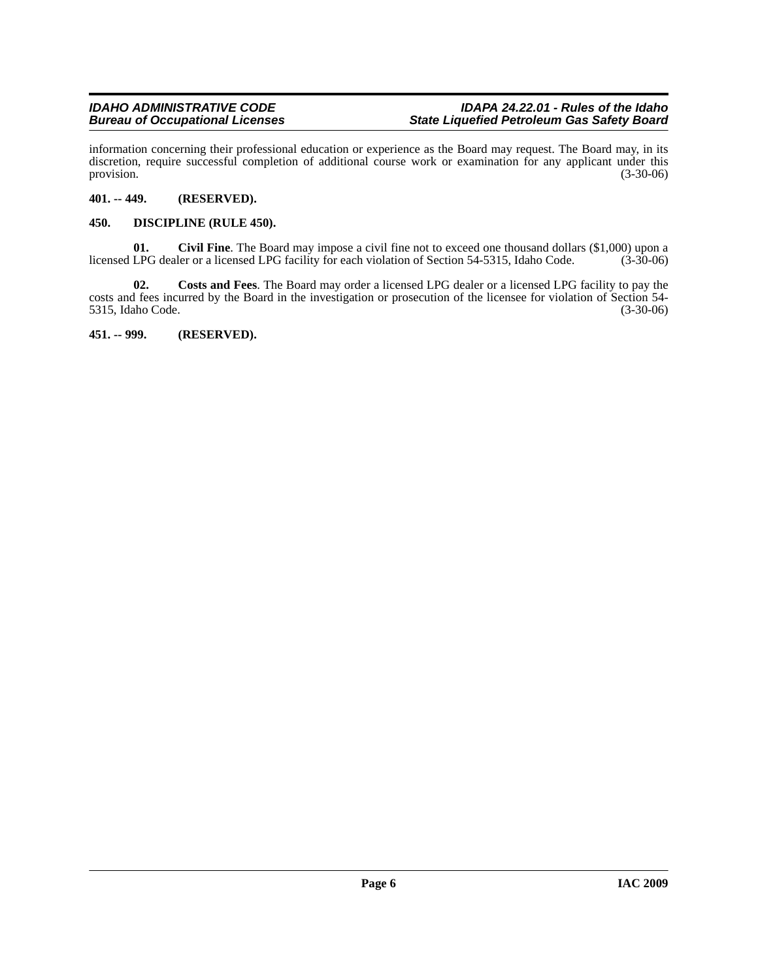information concerning their professional education or experience as the Board may request. The Board may, in its discretion, require successful completion of additional course work or examination for any applicant under this provision.  $(3-30-06)$ 

### <span id="page-5-0"></span>**401. -- 449. (RESERVED).**

#### <span id="page-5-1"></span>**450. DISCIPLINE (RULE 450).**

**01.** Civil Fine. The Board may impose a civil fine not to exceed one thousand dollars (\$1,000) upon a LPG dealer or a licensed LPG facility for each violation of Section 54-5315, Idaho Code. (3-30-06) licensed LPG dealer or a licensed LPG facility for each violation of Section 54-5315, Idaho Code.

**02. Costs and Fees**. The Board may order a licensed LPG dealer or a licensed LPG facility to pay the costs and fees incurred by the Board in the investigation or prosecution of the licensee for violation of Section 54- 5315, Idaho Code. (3-30-06)

<span id="page-5-2"></span>**451. -- 999. (RESERVED).**